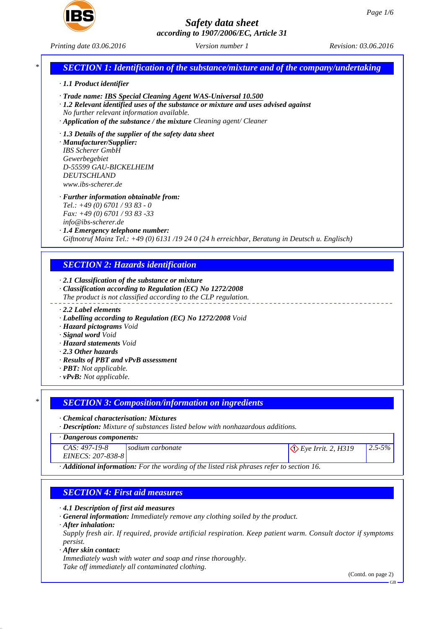

*Printing date 03.06.2016 Version number 1 Revision: 03.06.2016*

# *\* SECTION 1: Identification of the substance/mixture and of the company/undertaking*

#### *· 1.1 Product identifier*

- *· Trade name: IBS Special Cleaning Agent WAS-Universal 10.500*
- *· 1.2 Relevant identified uses of the substance or mixture and uses advised against No further relevant information available.*
- *· Application of the substance / the mixture Cleaning agent/ Cleaner*
- *· 1.3 Details of the supplier of the safety data sheet*

*· Manufacturer/Supplier: IBS Scherer GmbH Gewerbegebiet D-55599 GAU-BICKELHEIM DEUTSCHLAND www.ibs-scherer.de*

## *· Further information obtainable from:*

*Tel.: +49 (0) 6701 / 93 83 - 0 Fax: +49 (0) 6701 / 93 83 -33*

*info@ibs-scherer.de*

#### *· 1.4 Emergency telephone number:*

*Giftnotruf Mainz Tel.: +49 (0) 6131 /19 24 0 (24 h erreichbar, Beratung in Deutsch u. Englisch)*

## *SECTION 2: Hazards identification*

#### *· 2.1 Classification of the substance or mixture*

- *· Classification according to Regulation (EC) No 1272/2008 The product is not classified according to the CLP regulation.*
- *· 2.2 Label elements*
- *· Labelling according to Regulation (EC) No 1272/2008 Void*
- *· Hazard pictograms Void*
- *· Signal word Void*
- *· Hazard statements Void*
- *· 2.3 Other hazards*
- *· Results of PBT and vPvB assessment*
- *· PBT: Not applicable.*
- *· vPvB: Not applicable.*

## *\* SECTION 3: Composition/information on ingredients*

#### *· Chemical characterisation: Mixtures*

*· Description: Mixture of substances listed below with nonhazardous additions.*

## *· Dangerous components:*

| <b>Danservally components:</b>       |                  |                               |             |  |
|--------------------------------------|------------------|-------------------------------|-------------|--|
| $CAS: 497-19-8$<br>EINECS: 207-838-8 | sodium carbonate | $\Diamond$ Eye Irrit. 2, H319 | $2.5 - 5\%$ |  |
|                                      |                  |                               |             |  |

*· Additional information: For the wording of the listed risk phrases refer to section 16.*

# *SECTION 4: First aid measures*

*· 4.1 Description of first aid measures*

*· General information: Immediately remove any clothing soiled by the product.*

#### *· After inhalation:*

*Supply fresh air. If required, provide artificial respiration. Keep patient warm. Consult doctor if symptoms persist.*

#### *· After skin contact:*

*Immediately wash with water and soap and rinse thoroughly. Take off immediately all contaminated clothing.*

(Contd. on page 2)

GB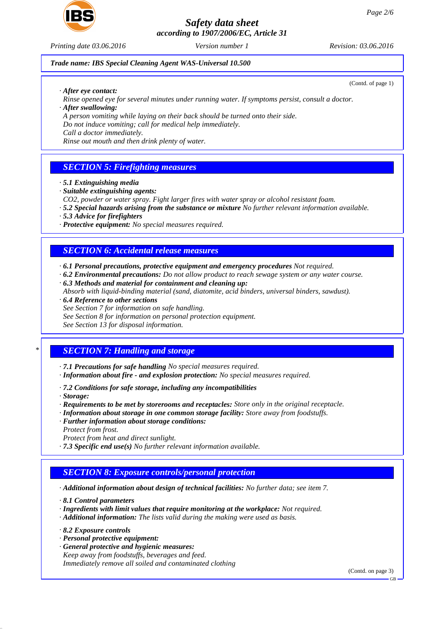

*Printing date 03.06.2016 Version number 1 Revision: 03.06.2016*

(Contd. of page 1)

## *Trade name: IBS Special Cleaning Agent WAS-Universal 10.500*

*· After eye contact:*

*Rinse opened eye for several minutes under running water. If symptoms persist, consult a doctor. · After swallowing:*

*A person vomiting while laying on their back should be turned onto their side. Do not induce vomiting; call for medical help immediately.*

*Call a doctor immediately.*

*Rinse out mouth and then drink plenty of water.*

# *SECTION 5: Firefighting measures*

- *· 5.1 Extinguishing media*
- *· Suitable extinguishing agents:*
- *CO2, powder or water spray. Fight larger fires with water spray or alcohol resistant foam.*
- *· 5.2 Special hazards arising from the substance or mixture No further relevant information available.*
- *· 5.3 Advice for firefighters*
- *· Protective equipment: No special measures required.*

# *SECTION 6: Accidental release measures*

- *· 6.1 Personal precautions, protective equipment and emergency procedures Not required.*
- *· 6.2 Environmental precautions: Do not allow product to reach sewage system or any water course.*
- *· 6.3 Methods and material for containment and cleaning up:*
- *Absorb with liquid-binding material (sand, diatomite, acid binders, universal binders, sawdust).*
- *· 6.4 Reference to other sections*
- *See Section 7 for information on safe handling.*
- *See Section 8 for information on personal protection equipment.*

*See Section 13 for disposal information.*

# *\* SECTION 7: Handling and storage*

- *· 7.1 Precautions for safe handling No special measures required.*
- *· Information about fire and explosion protection: No special measures required.*
- *· 7.2 Conditions for safe storage, including any incompatibilities*
- *· Storage:*
- *· Requirements to be met by storerooms and receptacles: Store only in the original receptacle.*
- *· Information about storage in one common storage facility: Store away from foodstuffs.*
- *· Further information about storage conditions: Protect from frost.*
- *Protect from heat and direct sunlight.*
- *· 7.3 Specific end use(s) No further relevant information available.*

# *SECTION 8: Exposure controls/personal protection*

*· Additional information about design of technical facilities: No further data; see item 7.*

*· 8.1 Control parameters*

- *· Ingredients with limit values that require monitoring at the workplace: Not required.*
- *· Additional information: The lists valid during the making were used as basis.*
- *· 8.2 Exposure controls*
- *· Personal protective equipment:*
- *· General protective and hygienic measures: Keep away from foodstuffs, beverages and feed. Immediately remove all soiled and contaminated clothing*

(Contd. on page 3)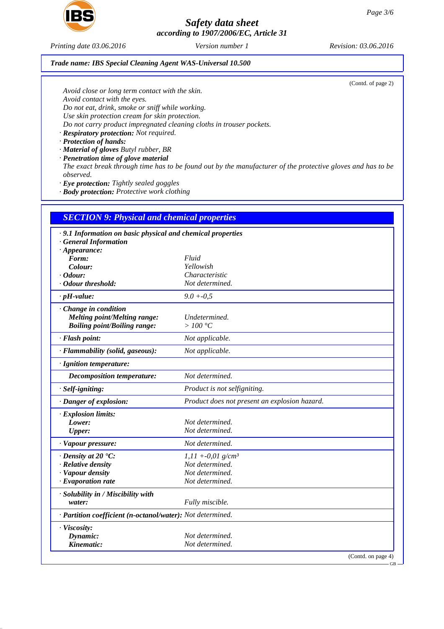

*Printing date 03.06.2016 Version number 1 Revision: 03.06.2016*

*Trade name: IBS Special Cleaning Agent WAS-Universal 10.500*

(Contd. of page 2)

*Avoid close or long term contact with the skin. Avoid contact with the eyes. Do not eat, drink, smoke or sniff while working. Use skin protection cream for skin protection. Do not carry product impregnated cleaning cloths in trouser pockets.*

*· Respiratory protection: Not required.*

*· Protection of hands:*

*· Material of gloves Butyl rubber, BR*

*· Penetration time of glove material The exact break through time has to be found out by the manufacturer of the protective gloves and has to be observed.*

*· Eye protection: Tightly sealed goggles*

*· Body protection: Protective work clothing*

# *SECTION 9: Physical and chemical properties*

| .9.1 Information on basic physical and chemical properties |                                               |  |  |
|------------------------------------------------------------|-----------------------------------------------|--|--|
| <b>General Information</b>                                 |                                               |  |  |
| $\cdot$ Appearance:                                        |                                               |  |  |
| Form:                                                      | Fluid                                         |  |  |
| Colour:                                                    | Yellowish                                     |  |  |
| $\cdot$ Odour:                                             | Characteristic                                |  |  |
| · Odour threshold:                                         | Not determined.                               |  |  |
| $\cdot$ pH-value:                                          | $9.0 + 0.5$                                   |  |  |
| Change in condition                                        |                                               |  |  |
| <b>Melting point/Melting range:</b>                        | Undetermined.                                 |  |  |
| <b>Boiling point/Boiling range:</b>                        | $>100\degree C$                               |  |  |
| · Flash point:                                             | Not applicable.                               |  |  |
| · Flammability (solid, gaseous):                           | Not applicable.                               |  |  |
| · Ignition temperature:                                    |                                               |  |  |
| Decomposition temperature:                                 | Not determined.                               |  |  |
| · Self-igniting:                                           | Product is not selfigniting.                  |  |  |
| · Danger of explosion:                                     | Product does not present an explosion hazard. |  |  |
| · Explosion limits:                                        |                                               |  |  |
| Lower:                                                     | Not determined.                               |  |  |
| <b>Upper:</b>                                              | Not determined.                               |  |  |
| · Vapour pressure:                                         | Not determined.                               |  |  |
| $\cdot$ Density at 20 $\cdot$ C:                           | $1,11 + -0.01$ g/cm <sup>3</sup>              |  |  |
| · Relative density                                         | Not determined.                               |  |  |
| · Vapour density                                           | Not determined.                               |  |  |
| $\cdot$ Evaporation rate                                   | Not determined.                               |  |  |
| · Solubility in / Miscibility with                         |                                               |  |  |
| water:                                                     | Fully miscible.                               |  |  |
| · Partition coefficient (n-octanol/water): Not determined. |                                               |  |  |
| · Viscosity:                                               |                                               |  |  |
| Dynamic:                                                   | Not determined.                               |  |  |
| Kinematic:                                                 | Not determined.                               |  |  |
|                                                            | (Contd. on page 4)                            |  |  |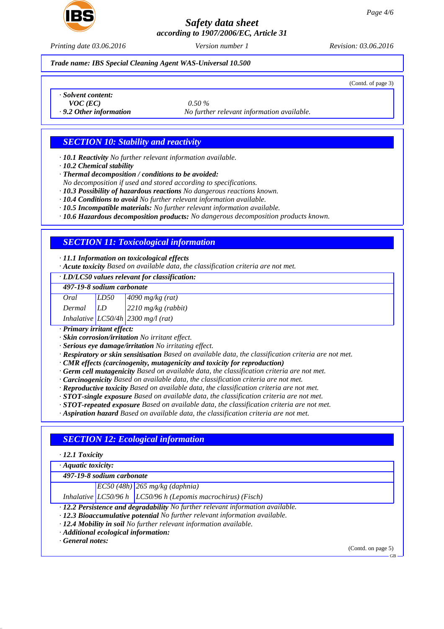

*Printing date 03.06.2016 Version number 1 Revision: 03.06.2016*

#### *Trade name: IBS Special Cleaning Agent WAS-Universal 10.500*

(Contd. of page 3)

*· Solvent content:*

*VOC (EC) 0.50 %*

*· 9.2 Other information No further relevant information available.*

# *SECTION 10: Stability and reactivity*

*· 10.1 Reactivity No further relevant information available.*

*· 10.2 Chemical stability*

*· Thermal decomposition / conditions to be avoided:*

*No decomposition if used and stored according to specifications.*

*· 10.3 Possibility of hazardous reactions No dangerous reactions known.*

*· 10.4 Conditions to avoid No further relevant information available.*

*· 10.5 Incompatible materials: No further relevant information available.*

*· 10.6 Hazardous decomposition products: No dangerous decomposition products known.*

## *SECTION 11: Toxicological information*

*· 11.1 Information on toxicological effects*

*· Acute toxicity Based on available data, the classification criteria are not met.*

*· LD/LC50 values relevant for classification:*

#### *497-19-8 sodium carbonate*

| Oral   | LD50 | $4090$ mg/kg (rat)                   |
|--------|------|--------------------------------------|
| Dermal | LD   | $2210$ mg/kg (rabbit)                |
|        |      | Inhalative $LC50/4h$ 2300 mg/l (rat) |

*· Primary irritant effect:*

*· Skin corrosion/irritation No irritant effect.*

*· Serious eye damage/irritation No irritating effect.*

*· Respiratory or skin sensitisation Based on available data, the classification criteria are not met.*

*· CMR effects (carcinogenity, mutagenicity and toxicity for reproduction)*

*· Germ cell mutagenicity Based on available data, the classification criteria are not met.*

*· Carcinogenicity Based on available data, the classification criteria are not met.*

*· Reproductive toxicity Based on available data, the classification criteria are not met.*

*· STOT-single exposure Based on available data, the classification criteria are not met.*

*· STOT-repeated exposure Based on available data, the classification criteria are not met.*

*· Aspiration hazard Based on available data, the classification criteria are not met.*

# *SECTION 12: Ecological information*

## *· 12.1 Toxicity*

*· Aquatic toxicity:*

*497-19-8 sodium carbonate*

*EC50 (48h) 265 mg/kg (daphnia)*

*Inhalative LC50/96 h LC50/96 h (Lepomis macrochirus) (Fisch)*

*· 12.2 Persistence and degradability No further relevant information available.*

- *· 12.3 Bioaccumulative potential No further relevant information available.*
- *· 12.4 Mobility in soil No further relevant information available.*
- *· Additional ecological information:*

*· General notes:*

(Contd. on page 5)

GB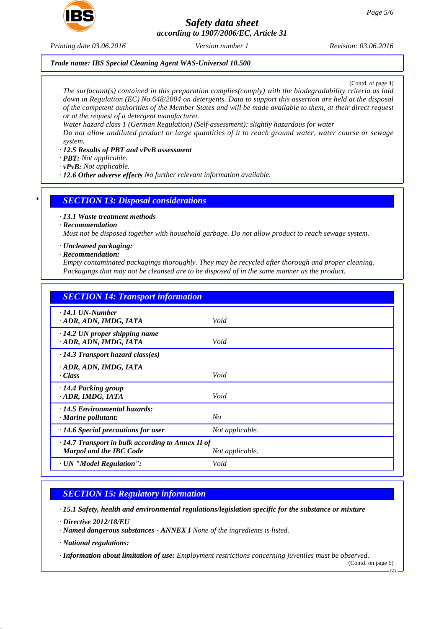

*Printing date 03.06.2016 Version number 1 Revision: 03.06.2016*

## *Trade name: IBS Special Cleaning Agent WAS-Universal 10.500*

(Contd. of page 4)

*The surfactant(s) contained in this preparation complies(comply) with the biodegradability criteria as laid down in Regulation (EC) No.648/2004 on detergents. Data to support this assertion are held at the disposal of the competent authorities of the Member States and will be made available to them, at their direct request or at the request of a detergent manufacturer.*

*Water hazard class 1 (German Regulation) (Self-assessment): slightly hazardous for water*

*Do not allow undiluted product or large quantities of it to reach ground water, water course or sewage system.*

## *· 12.5 Results of PBT and vPvB assessment*

*· PBT: Not applicable.*

*· vPvB: Not applicable.*

*· 12.6 Other adverse effects No further relevant information available.*

## *\* SECTION 13: Disposal considerations*

*· 13.1 Waste treatment methods*

*· Recommendation*

*Must not be disposed together with household garbage. Do not allow product to reach sewage system.*

- *· Uncleaned packaging:*
- *· Recommendation:*

*Empty contaminated packagings thoroughly. They may be recycled after thorough and proper cleaning. Packagings that may not be cleansed are to be disposed of in the same manner as the product.*

| <b>SECTION 14: Transport information</b>                                                  |                 |  |  |  |
|-------------------------------------------------------------------------------------------|-----------------|--|--|--|
| $\cdot$ 14.1 UN-Number<br>ADR, ADN, IMDG, IATA                                            | Void            |  |  |  |
| $\cdot$ 14.2 UN proper shipping name<br>· ADR, ADN, IMDG, IATA                            | Void            |  |  |  |
| $\cdot$ 14.3 Transport hazard class(es)                                                   |                 |  |  |  |
| · ADR, ADN, IMDG, IATA<br>$\cdot$ Class                                                   | Void            |  |  |  |
| · 14.4 Packing group<br>· ADR, IMDG, IATA                                                 | Void            |  |  |  |
| $\cdot$ 14.5 Environmental hazards:<br>$\cdot$ Marine pollutant:                          | No              |  |  |  |
| $\cdot$ 14.6 Special precautions for user                                                 | Not applicable. |  |  |  |
| $\cdot$ 14.7 Transport in bulk according to Annex II of<br><b>Marpol and the IBC Code</b> | Not applicable. |  |  |  |
| · UN "Model Regulation":                                                                  | Void            |  |  |  |

# *SECTION 15: Regulatory information*

*· 15.1 Safety, health and environmental regulations/legislation specific for the substance or mixture*

- *· Directive 2012/18/EU*
- *· Named dangerous substances ANNEX I None of the ingredients is listed.*
- *· National regulations:*

*· Information about limitation of use: Employment restrictions concerning juveniles must be observed.*

(Contd. on page 6)

GB